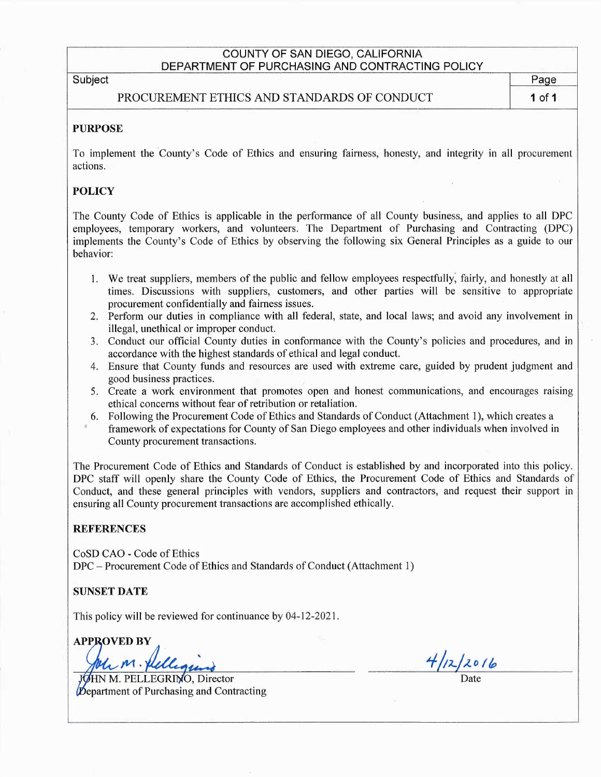## COUNTY OF SAN DIEGO, CALIFORNIA DEPARTMENT OF PURCHASING AND CONTRACTING POLICY

Subject **Page** 

PROCUREMENT ETHICS AND STANDARDS OF CONDUCT 1 of 1

## PURPOSE

To implement the County's Code of Ethics and ensuring fairness, honesty, and integrity in all procurement actions.

## **POLICY**

The County Code of Ethics is applicable in the performance of all County business, and applies to all DPC employees, temporary workers, and volunteers. The Department of Purchasing and Contracting (DPC) implements the County's Code of Ethics by observing the following six General Principles as a guide to our behavior:

- 1. We treat suppliers, members of the public and fellow employees respectfully, fairly, and honestly at all times. Discussions with suppliers, customers, and other parties will be sensitive to appropriate procurement confidentially and fairness issues.
- 2. Perform our duties in compliance with all federal, state, and local laws; and avoid any involvement in illegal, unethical or improper conduct.
- 3. Conduct our official County duties in conformance with the County's policies and procedures, and in accordance with the highest standards of ethical and legal conduct.
- 4. Ensure that County funds and resources are used with extreme care, guided by prudent judgment and good business practices.
- 5. Create a work environment that promotes open and honest communications, and encourages raising ethical concerns without fear of retribution or retaliation.
- 6. Following the Procurement Code of Ethics and Standards of Conduct (Attachment 1), which creates a framework of expectations for County of San Diego employees and other individuals when involved in County procurement transactions.

The Procurement Code of Ethics and Standards of Conduct is established by and incorporated into this policy. DPC staff will openly share the County Code of Ethics, the Procurement Code of Ethics and Standards of Conduct, and these general principles with vendors, suppliers and contractors, and request their support in ensuring all County procurement transactions are accomplished ethically.

#### **REFERENCES**

CoSD CAO -Code of Ethics DPC — Procurement Code of Ethics and Standards of Conduct (Attachment 1)

## SUNSET DATE

This policy will be reviewed for continuance by 04-12-2021.

APPROVED BY in. felle

John M. Pellegins 4/12/2016 **Department of Purchasing and Contracting**